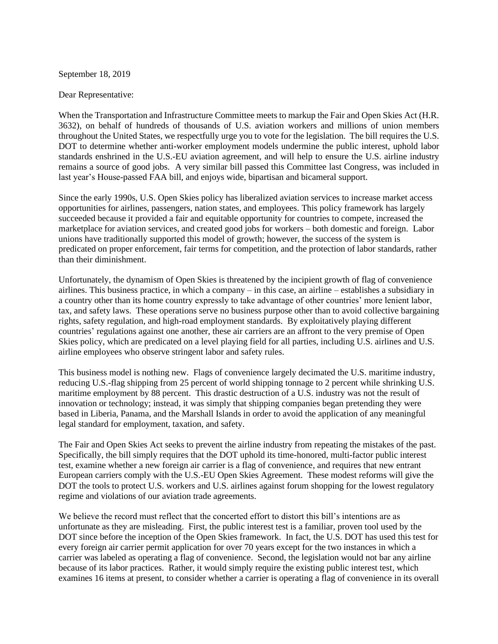September 18, 2019

## Dear Representative:

When the Transportation and Infrastructure Committee meets to markup the Fair and Open Skies Act (H.R. 3632), on behalf of hundreds of thousands of U.S. aviation workers and millions of union members throughout the United States, we respectfully urge you to vote for the legislation. The bill requires the U.S. DOT to determine whether anti-worker employment models undermine the public interest, uphold labor standards enshrined in the U.S.-EU aviation agreement, and will help to ensure the U.S. airline industry remains a source of good jobs. A very similar bill passed this Committee last Congress, was included in last year's House-passed FAA bill, and enjoys wide, bipartisan and bicameral support.

Since the early 1990s, U.S. Open Skies policy has liberalized aviation services to increase market access opportunities for airlines, passengers, nation states, and employees. This policy framework has largely succeeded because it provided a fair and equitable opportunity for countries to compete, increased the marketplace for aviation services, and created good jobs for workers – both domestic and foreign. Labor unions have traditionally supported this model of growth; however, the success of the system is predicated on proper enforcement, fair terms for competition, and the protection of labor standards, rather than their diminishment.

Unfortunately, the dynamism of Open Skies is threatened by the incipient growth of flag of convenience airlines. This business practice, in which a company – in this case, an airline – establishes a subsidiary in a country other than its home country expressly to take advantage of other countries' more lenient labor, tax, and safety laws. These operations serve no business purpose other than to avoid collective bargaining rights, safety regulation, and high-road employment standards. By exploitatively playing different countries' regulations against one another, these air carriers are an affront to the very premise of Open Skies policy, which are predicated on a level playing field for all parties, including U.S. airlines and U.S. airline employees who observe stringent labor and safety rules.

This business model is nothing new. Flags of convenience largely decimated the U.S. maritime industry, reducing U.S.-flag shipping from 25 percent of world shipping tonnage to 2 percent while shrinking U.S. maritime employment by 88 percent. This drastic destruction of a U.S. industry was not the result of innovation or technology; instead, it was simply that shipping companies began pretending they were based in Liberia, Panama, and the Marshall Islands in order to avoid the application of any meaningful legal standard for employment, taxation, and safety.

The Fair and Open Skies Act seeks to prevent the airline industry from repeating the mistakes of the past. Specifically, the bill simply requires that the DOT uphold its time-honored, multi-factor public interest test, examine whether a new foreign air carrier is a flag of convenience, and requires that new entrant European carriers comply with the U.S.-EU Open Skies Agreement. These modest reforms will give the DOT the tools to protect U.S. workers and U.S. airlines against forum shopping for the lowest regulatory regime and violations of our aviation trade agreements.

We believe the record must reflect that the concerted effort to distort this bill's intentions are as unfortunate as they are misleading. First, the public interest test is a familiar, proven tool used by the DOT since before the inception of the Open Skies framework. In fact, the U.S. DOT has used this test for every foreign air carrier permit application for over 70 years except for the two instances in which a carrier was labeled as operating a flag of convenience. Second, the legislation would not bar any airline because of its labor practices. Rather, it would simply require the existing public interest test, which examines 16 items at present, to consider whether a carrier is operating a flag of convenience in its overall